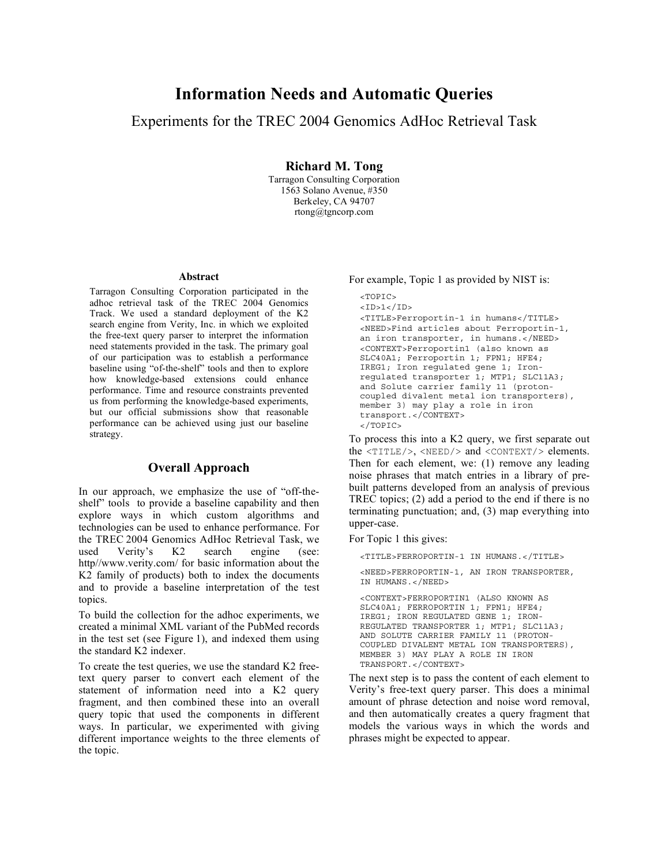# Information Needs and Automatic Queries

## Experiments for the TREC 2004 Genomics AdHoc Retrieval Task

Richard M. Tong

Tarragon Consulting Corporation 1563 Solano Avenue, #350 Berkeley, CA 94707 rtong@tgncorp.com

#### **Abstract**

Tarragon Consulting Corporation participated in the adhoc retrieval task of the TREC 2004 Genomics Track. We used a standard deployment of the K2 search engine from Verity, Inc. in which we exploited the free-text query parser to interpret the information need statements provided in the task. The primary goal of our participation was to establish a performance baseline using "of-the-shelf" tools and then to explore how knowledge-based extensions could enhance performance. Time and resource constraints prevented us from performing the knowledge-based experiments, but our official submissions show that reasonable performance can be achieved using just our baseline strategy.

## Overall Approach

In our approach, we emphasize the use of "off-theshelf" tools to provide a baseline capability and then explore ways in which custom algorithms and technologies can be used to enhance performance. For the TREC 2004 Genomics AdHoc Retrieval Task, we used Verity's K2 search engine (see: http//www.verity.com/ for basic information about the K2 family of products) both to index the documents and to provide a baseline interpretation of the test topics.

To build the collection for the adhoc experiments, we created a minimal XML variant of the PubMed records in the test set (see Figure 1), and indexed them using the standard K2 indexer.

To create the test queries, we use the standard K2 freetext query parser to convert each element of the statement of information need into a K2 query fragment, and then combined these into an overall query topic that used the components in different ways. In particular, we experimented with giving different importance weights to the three elements of the topic.

#### For example, Topic 1 as provided by NIST is:

```
<TOPIC>
<ID>1</ID><TITLE>Ferroportin-1 in humans</TITLE>
<NEED>Find articles about Ferroportin-1,
an iron transporter, in humans.</NEED>
<CONTEXT>Ferroportin1 (also known as
SLC40A1; Ferroportin 1; FPN1; HFE4;
IREG1; Iron regulated gene 1; Iron-
regulated transporter 1; MTP1; SLC11A3;
and Solute carrier family 11 (proton-
coupled divalent metal ion transporters),
member 3) may play a role in iron
transport.</CONTEXT>
</TOPIC>
```
To process this into a K2 query, we first separate out the <TITLE/>, <NEED/> and <CONTEXT/> elements. Then for each element, we: (1) remove any leading noise phrases that match entries in a library of prebuilt patterns developed from an analysis of previous TREC topics; (2) add a period to the end if there is no terminating punctuation; and, (3) map everything into upper-case.

For Topic 1 this gives:

```
<TITLE>FERROPORTIN-1 IN HUMANS.</TITLE>
<NEED>FERROPORTIN-1, AN IRON TRANSPORTER,
IN HUMANS.</NEED>
<CONTEXT>FERROPORTIN1 (ALSO KNOWN AS
SLC40A1; FERROPORTIN 1; FPN1; HFE4;
IREG1; IRON REGULATED GENE 1; IRON-
REGULATED TRANSPORTER 1; MTP1; SLC11A3;
AND SOLUTE CARRIER FAMILY 11 (PROTON-
COUPLED DIVALENT METAL ION TRANSPORTERS),
MEMBER 3) MAY PLAY A ROLE IN IRON
TRANSPORT.</CONTEXT>
```
The next step is to pass the content of each element to Verity's free-text query parser. This does a minimal amount of phrase detection and noise word removal, and then automatically creates a query fragment that models the various ways in which the words and phrases might be expected to appear.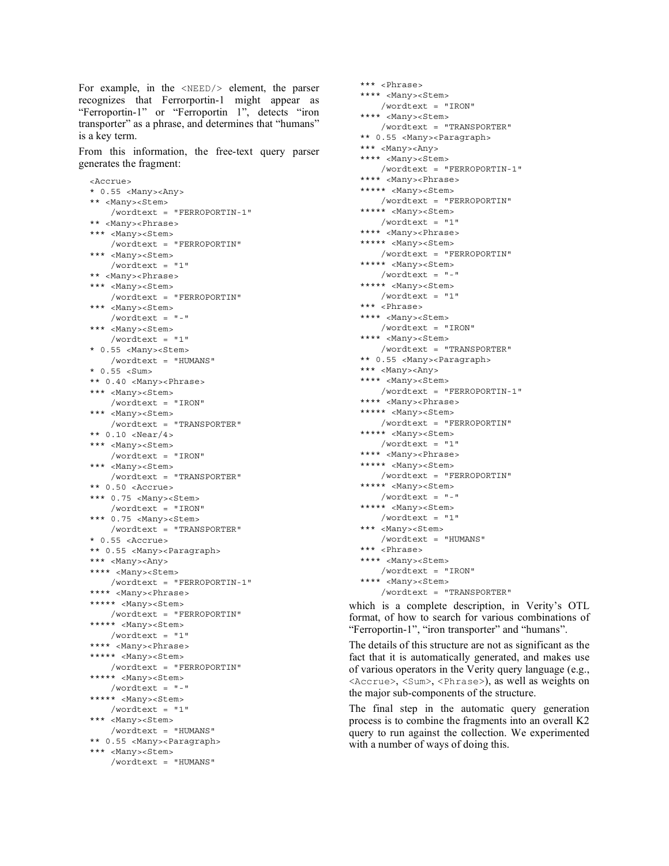For example, in the <NEED/> element, the parser recognizes that Ferrorportin-1 might appear as "Ferroportin-1" or "Ferroportin 1", detects "iron transporter" as a phrase, and determines that "humans" is a key term.

From this information, the free-text query parser generates the fragment:

```
<Accrue>
* 0.55 <Many><Any>
** <Many><Stem>
   /wordtext = "FERROPORTIN-1"
** <Many><Phrase>
*** <Many><Stem>
   /wordtext = "FERROPORTIN"
*** <Many><Stem>
   /wordtext = "1"
** <Many><Phrase>
*** <Many><Stem>
   /wordtext = "FERROPORTIN"
*** <Many><Stem>
   /wordtext = "-"
*** <Many><Stem>
   /wordtext = "1"
* 0.55 <Many><Stem>
   /wordtext = "HUMANS"
* 0.55 <Sum>
** 0.40 <Many><Phrase>
*** <Many><Stem>
   /wordtext = "IRON"
*** <Many><Stem>
   /wordtext = "TRANSPORTER"
** 0.10 <Near/4>
*** <Many><Stem>
   /wordtext = "IRON"
*** <Many><Stem>
   /wordtext = "TRANSPORTER"
** 0.50 <Accrue>
*** 0.75 <Many><Stem>
   /wordtext = "IRON"
*** 0.75 <Many><Stem>
   /wordtext = "TRANSPORTER"
* 0.55 <Accrue>
** 0.55 <Many><Paragraph>
*** <Many><Any>
**** <Many><Stem>
   /wordtext = "FERROPORTIN-1"
**** <Many><Phrase>
***** <Many><Stem>
   /wordtext = "FERROPORTIN"
***** <Many><Stem>
   /wordtext = "1"
**** <Many><Phrase>
***** <Many><Stem>
   /wordtext = "FERROPORTIN"
***** <Many><Stem>
   /wordtext = "-"
***** <Many><Stem>
   /wordtext = "1"
*** <Many><Stem>
   /wordtext = "HUMANS"
** 0.55 <Many><Paragraph>
*** <Many><Stem>
    /wordtext = "HUMANS"
```

```
*** <Phrase>
**** <Many><Stem>
   /wordtext = "IRON"
**** <Many><Stem>
   /wordtext = "TRANSPORTER"
** 0.55 <Many><Paragraph>
*** <Many><Any>
**** <Many><Stem>
   /wordtext = "FERROPORTIN-1"
**** <Many><Phrase>
***** <Many><Stem>
   /wordtext = "FERROPORTIN"
***** <Many><Stem>
   /wordtext = "1"
**** <Many><Phrase>
***** <Many><Stem>
   /wordtext = "FERROPORTIN"
***** <Many><Stem>
   /wordtext = "-"
***** <Many><Stem>
   /wordtext = "1"
*** <Phrase>
**** <Many><Stem>
   /wordtext = "IRON"
**** <Many><Stem>
   /wordtext = "TRANSPORTER"
** 0.55 <Many><Paragraph>
*** <Many><Any>
**** <Many><Stem>
   /wordtext = "FERROPORTIN-1"
**** <Many><Phrase>
***** <Many><Stem>
   /wordtext = "FERROPORTIN"
***** <Many><Stem>
   /wordtext = "1"
**** <Many><Phrase>
***** <Many><Stem>
   /wordtext = "FERROPORTIN"
***** <Many><Stem>
   /wordtext = "-"
***** <Many><Stem>
   /wordtext = "1"
*** <Many><Stem>
   /wordtext = "HUMANS"
*** <Phrase>
**** <Many><Stem>
   /wordtext = "IRON"
**** <Many><Stem>
    /wordtext = "TRANSPORTER"
```
which is a complete description, in Verity's OTL format, of how to search for various combinations of "Ferroportin-1", "iron transporter" and "humans".

The details of this structure are not as significant as the fact that it is automatically generated, and makes use of various operators in the Verity query language (e.g., <Accrue>, <Sum>, <Phrase>), as well as weights on the major sub-components of the structure.

The final step in the automatic query generation process is to combine the fragments into an overall K2 query to run against the collection. We experimented with a number of ways of doing this.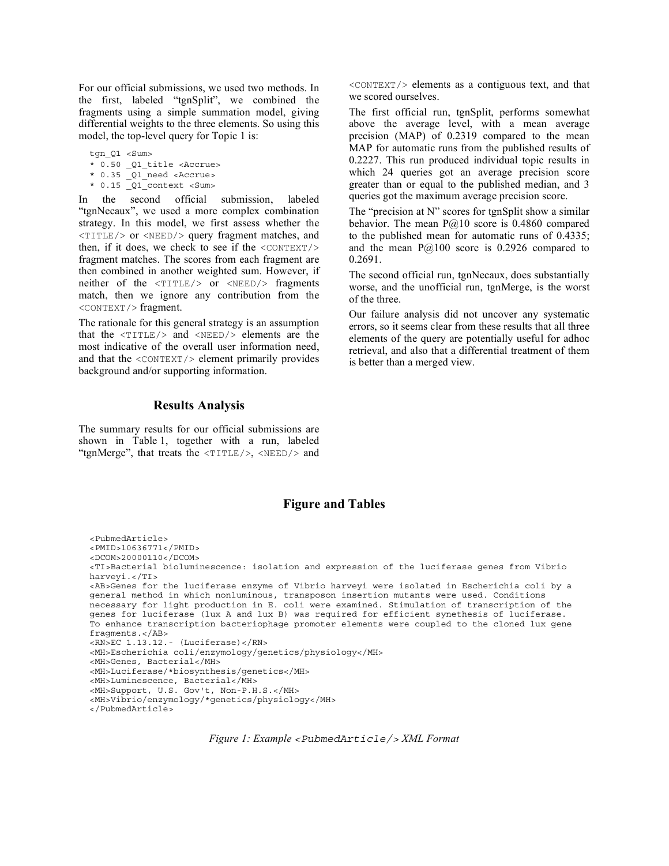For our official submissions, we used two methods. In the first, labeled "tgnSplit", we combined the fragments using a simple summation model, giving differential weights to the three elements. So using this model, the top-level query for Topic 1 is:

tgn Q1 <Sum> \* 0.50 \_Q1\_title <Accrue> \* 0.35 \_Q1\_need <Accrue>

 $*$  0.15  $\boxed{Q1}$  context <Sum>

In the second official submission, labeled "tgnNecaux", we used a more complex combination strategy. In this model, we first assess whether the <TITLE/> or <NEED/> query fragment matches, and then, if it does, we check to see if the  $\langle$ CONTEXT $\rangle$ > fragment matches. The scores from each fragment are then combined in another weighted sum. However, if neither of the <TITLE/> or <NEED/> fragments match, then we ignore any contribution from the <CONTEXT/> fragment.

The rationale for this general strategy is an assumption that the <TITLE/> and <NEED/> elements are the most indicative of the overall user information need, and that the  $\langle$ CONTEXT $/$  element primarily provides background and/or supporting information.

### Results Analysis

The summary results for our official submissions are shown in Table 1, together with a run, labeled "tgnMerge", that treats the  $\langle TITLE \rangle$ ,  $\langle NEED \rangle$  and

#### <CONTEXT/> elements as a contiguous text, and that we scored ourselves.

The first official run, tgnSplit, performs somewhat above the average level, with a mean average precision (MAP) of 0.2319 compared to the mean MAP for automatic runs from the published results of 0.2227. This run produced individual topic results in which 24 queries got an average precision score greater than or equal to the published median, and 3 queries got the maximum average precision score.

The "precision at N" scores for tgnSplit show a similar behavior. The mean  $P@10$  score is 0.4860 compared to the published mean for automatic runs of 0.4335; and the mean  $P@100$  score is 0.2926 compared to 0.2691.

The second official run, tgnNecaux, does substantially worse, and the unofficial run, tgnMerge, is the worst of the three.

Our failure analysis did not uncover any systematic errors, so it seems clear from these results that all three elements of the query are potentially useful for adhoc retrieval, and also that a differential treatment of them is better than a merged view.

## Figure and Tables

<PubmedArticle> <PMID>10636771</PMID> <DCOM>20000110</DCOM> <TI>Bacterial bioluminescence: isolation and expression of the luciferase genes from Vibrio harveyi.</TI> <AB>Genes for the luciferase enzyme of Vibrio harveyi were isolated in Escherichia coli by a general method in which nonluminous, transposon insertion mutants were used. Conditions necessary for light production in E. coli were examined. Stimulation of transcription of the genes for luciferase (lux A and lux B) was required for efficient synethesis of luciferase. To enhance transcription bacteriophage promoter elements were coupled to the cloned lux gene fragments.</AB> <RN>EC 1.13.12.- (Luciferase)</RN> <MH>Escherichia coli/enzymology/genetics/physiology</MH> <MH>Genes, Bacterial</MH> <MH>Luciferase/\*biosynthesis/genetics</MH> <MH>Luminescence, Bacterial</MH> <MH>Support, U.S. Gov't, Non-P.H.S.</MH> <MH>Vibrio/enzymology/\*genetics/physiology</MH> </PubmedArticle>

*Figure 1: Example <PubmedArticle/> XML Format*